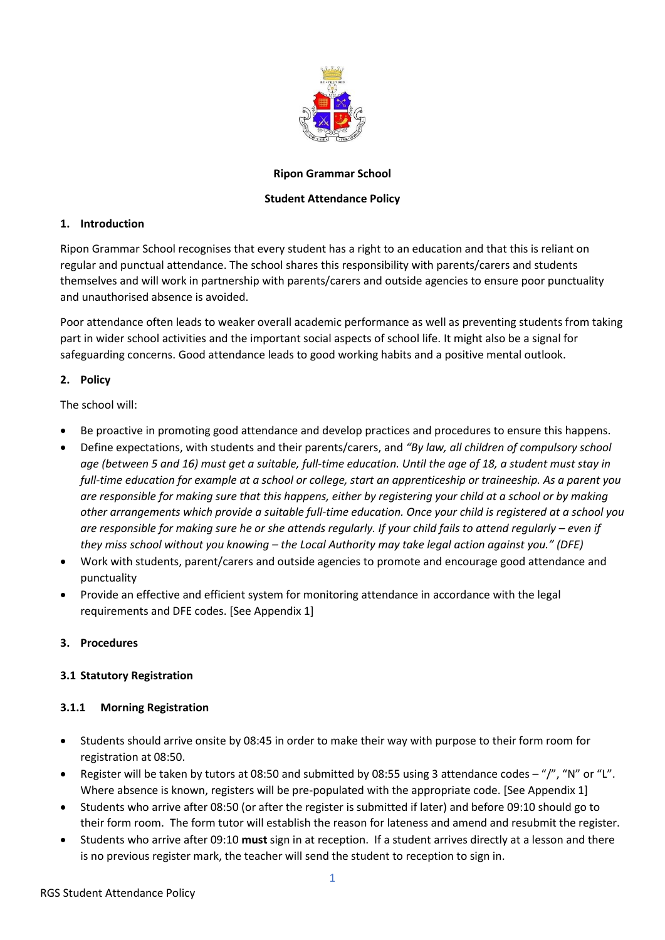

## **Ripon Grammar School**

## **Student Attendance Policy**

## **1. Introduction**

Ripon Grammar School recognises that every student has a right to an education and that this is reliant on regular and punctual attendance. The school shares this responsibility with parents/carers and students themselves and will work in partnership with parents/carers and outside agencies to ensure poor punctuality and unauthorised absence is avoided.

Poor attendance often leads to weaker overall academic performance as well as preventing students from taking part in wider school activities and the important social aspects of school life. It might also be a signal for safeguarding concerns. Good attendance leads to good working habits and a positive mental outlook.

## **2. Policy**

The school will:

- Be proactive in promoting good attendance and develop practices and procedures to ensure this happens.
- Define expectations, with students and their parents/carers, and *"By law, all children of compulsory school age (between 5 and 16) must get a suitable, full-time education. Until the age of 18, a student must stay in full-time education for example at a school or college, start an apprenticeship or traineeship. As a parent you are responsible for making sure that this happens, either by registering your child at a school or by making other arrangements which provide a suitable full-time education. Once your child is registered at a school you are responsible for making sure he or she attends regularly. If your child fails to attend regularly – even if they miss school without you knowing – the Local Authority may take legal action against you." (DFE)*
- Work with students, parent/carers and outside agencies to promote and encourage good attendance and punctuality
- Provide an effective and efficient system for monitoring attendance in accordance with the legal requirements and DFE codes. [See Appendix 1]

# **3. Procedures**

# **3.1 Statutory Registration**

## **3.1.1 Morning Registration**

- Students should arrive onsite by 08:45 in order to make their way with purpose to their form room for registration at 08:50.
- Register will be taken by tutors at 08:50 and submitted by 08:55 using 3 attendance codes "/", "N" or "L". Where absence is known, registers will be pre-populated with the appropriate code. [See Appendix 1]
- Students who arrive after 08:50 (or after the register is submitted if later) and before 09:10 should go to their form room. The form tutor will establish the reason for lateness and amend and resubmit the register.
- Students who arrive after 09:10 **must** sign in at reception. If a student arrives directly at a lesson and there is no previous register mark, the teacher will send the student to reception to sign in.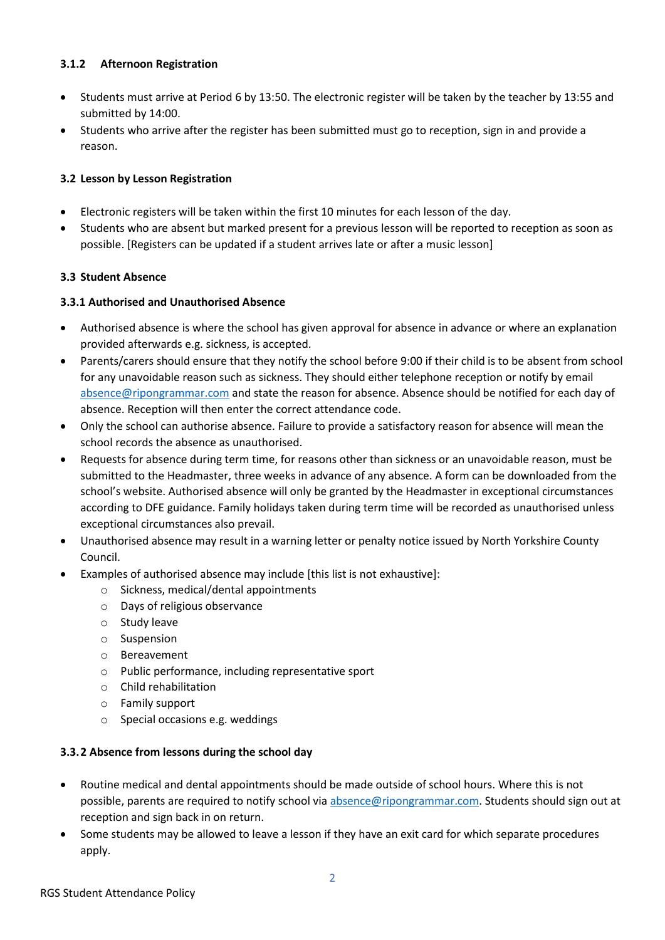## **3.1.2 Afternoon Registration**

- Students must arrive at Period 6 by 13:50. The electronic register will be taken by the teacher by 13:55 and submitted by 14:00.
- Students who arrive after the register has been submitted must go to reception, sign in and provide a reason.

### **3.2 Lesson by Lesson Registration**

- Electronic registers will be taken within the first 10 minutes for each lesson of the day.
- Students who are absent but marked present for a previous lesson will be reported to reception as soon as possible. [Registers can be updated if a student arrives late or after a music lesson]

### **3.3 Student Absence**

### **3.3.1 Authorised and Unauthorised Absence**

- Authorised absence is where the school has given approval for absence in advance or where an explanation provided afterwards e.g. sickness, is accepted.
- Parents/carers should ensure that they notify the school before 9:00 if their child is to be absent from school for any unavoidable reason such as sickness. They should either telephone reception or notify by email [absence@ripongrammar.com](mailto:absence@ripongrammar.com) and state the reason for absence. Absence should be notified for each day of absence. Reception will then enter the correct attendance code.
- Only the school can authorise absence. Failure to provide a satisfactory reason for absence will mean the school records the absence as unauthorised.
- Requests for absence during term time, for reasons other than sickness or an unavoidable reason, must be submitted to the Headmaster, three weeks in advance of any absence. A form can be downloaded from the school's website. Authorised absence will only be granted by the Headmaster in exceptional circumstances according to DFE guidance. Family holidays taken during term time will be recorded as unauthorised unless exceptional circumstances also prevail.
- Unauthorised absence may result in a warning letter or penalty notice issued by North Yorkshire County Council.
- Examples of authorised absence may include [this list is not exhaustive]:
	- o Sickness, medical/dental appointments
	- o Days of religious observance
	- o Study leave
	- o Suspension
	- o Bereavement
	- o Public performance, including representative sport
	- o Child rehabilitation
	- o Family support
	- o Special occasions e.g. weddings

#### **3.3.2 Absence from lessons during the school day**

- Routine medical and dental appointments should be made outside of school hours. Where this is not possible, parents are required to notify school vi[a absence@ripongrammar.com.](mailto:absence@ripongrammar.com) Students should sign out at reception and sign back in on return.
- Some students may be allowed to leave a lesson if they have an exit card for which separate procedures apply.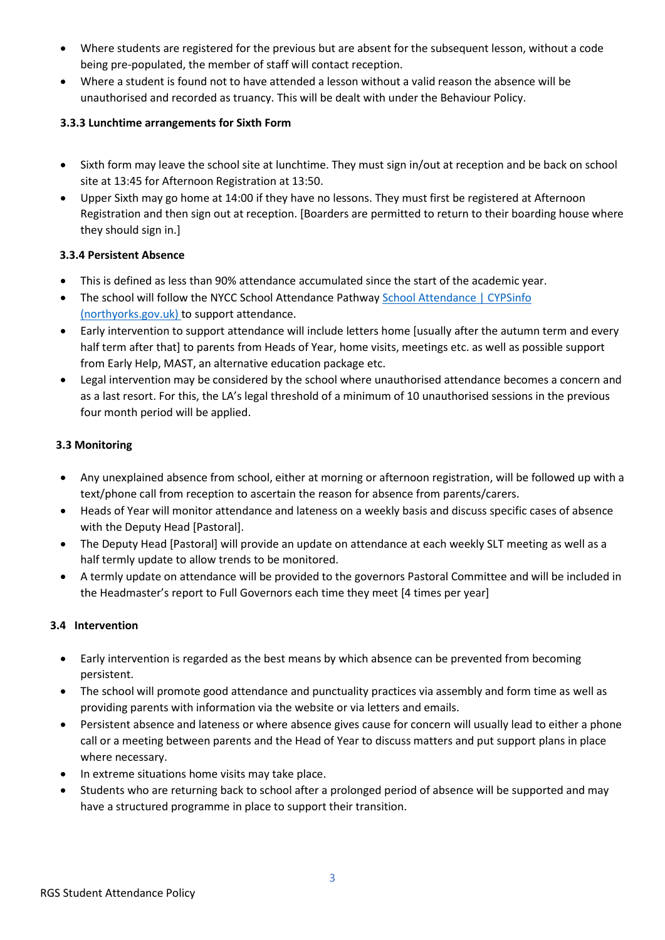- Where students are registered for the previous but are absent for the subsequent lesson, without a code being pre-populated, the member of staff will contact reception.
- Where a student is found not to have attended a lesson without a valid reason the absence will be unauthorised and recorded as truancy. This will be dealt with under the Behaviour Policy.

## **3.3.3 Lunchtime arrangements for Sixth Form**

- Sixth form may leave the school site at lunchtime. They must sign in/out at reception and be back on school site at 13:45 for Afternoon Registration at 13:50.
- Upper Sixth may go home at 14:00 if they have no lessons. They must first be registered at Afternoon Registration and then sign out at reception. [Boarders are permitted to return to their boarding house where they should sign in.]

# **3.3.4 Persistent Absence**

- This is defined as less than 90% attendance accumulated since the start of the academic year.
- The school will follow the NYCC School Attendance Pathway School Attendance | CYPSinfo [\(northyorks.gov.uk\)](https://cyps.northyorks.gov.uk/school-attendance) to support attendance.
- Early intervention to support attendance will include letters home [usually after the autumn term and every half term after that] to parents from Heads of Year, home visits, meetings etc. as well as possible support from Early Help, MAST, an alternative education package etc.
- Legal intervention may be considered by the school where unauthorised attendance becomes a concern and as a last resort. For this, the LA's legal threshold of a minimum of 10 unauthorised sessions in the previous four month period will be applied.

# **3.3 Monitoring**

- Any unexplained absence from school, either at morning or afternoon registration, will be followed up with a text/phone call from reception to ascertain the reason for absence from parents/carers.
- Heads of Year will monitor attendance and lateness on a weekly basis and discuss specific cases of absence with the Deputy Head [Pastoral].
- The Deputy Head [Pastoral] will provide an update on attendance at each weekly SLT meeting as well as a half termly update to allow trends to be monitored.
- A termly update on attendance will be provided to the governors Pastoral Committee and will be included in the Headmaster's report to Full Governors each time they meet [4 times per year]

# **3.4 Intervention**

- Early intervention is regarded as the best means by which absence can be prevented from becoming persistent.
- The school will promote good attendance and punctuality practices via assembly and form time as well as providing parents with information via the website or via letters and emails.
- Persistent absence and lateness or where absence gives cause for concern will usually lead to either a phone call or a meeting between parents and the Head of Year to discuss matters and put support plans in place where necessary.
- In extreme situations home visits may take place.
- Students who are returning back to school after a prolonged period of absence will be supported and may have a structured programme in place to support their transition.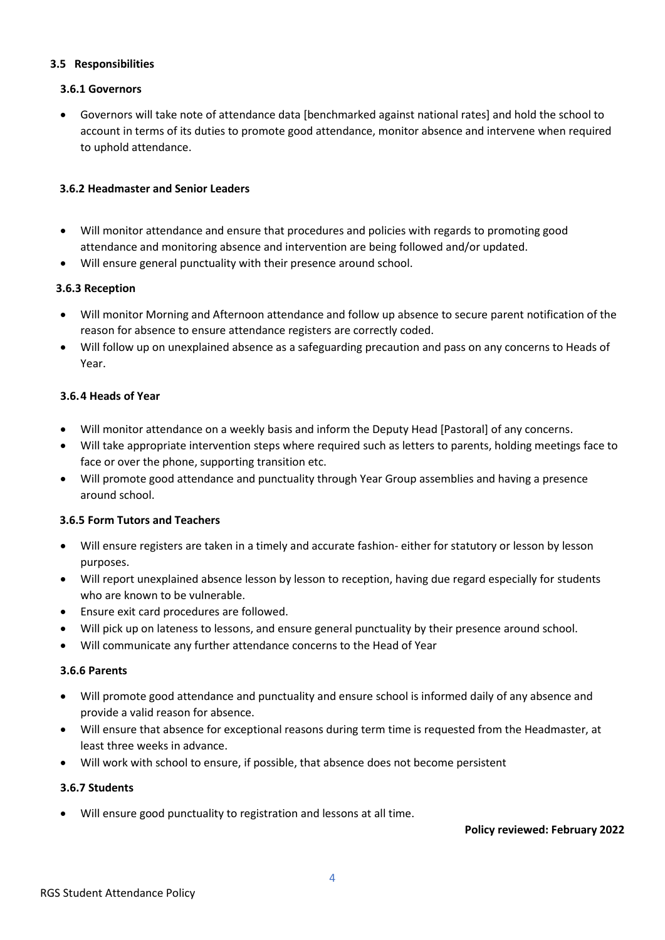### **3.5 Responsibilities**

## **3.6.1 Governors**

• Governors will take note of attendance data [benchmarked against national rates] and hold the school to account in terms of its duties to promote good attendance, monitor absence and intervene when required to uphold attendance.

### **3.6.2 Headmaster and Senior Leaders**

- Will monitor attendance and ensure that procedures and policies with regards to promoting good attendance and monitoring absence and intervention are being followed and/or updated.
- Will ensure general punctuality with their presence around school.

### **3.6.3 Reception**

- Will monitor Morning and Afternoon attendance and follow up absence to secure parent notification of the reason for absence to ensure attendance registers are correctly coded.
- Will follow up on unexplained absence as a safeguarding precaution and pass on any concerns to Heads of Year.

### **3.6.4 Heads of Year**

- Will monitor attendance on a weekly basis and inform the Deputy Head [Pastoral] of any concerns.
- Will take appropriate intervention steps where required such as letters to parents, holding meetings face to face or over the phone, supporting transition etc.
- Will promote good attendance and punctuality through Year Group assemblies and having a presence around school.

#### **3.6.5 Form Tutors and Teachers**

- Will ensure registers are taken in a timely and accurate fashion- either for statutory or lesson by lesson purposes.
- Will report unexplained absence lesson by lesson to reception, having due regard especially for students who are known to be vulnerable.
- Ensure exit card procedures are followed.
- Will pick up on lateness to lessons, and ensure general punctuality by their presence around school.
- Will communicate any further attendance concerns to the Head of Year

#### **3.6.6 Parents**

- Will promote good attendance and punctuality and ensure school is informed daily of any absence and provide a valid reason for absence.
- Will ensure that absence for exceptional reasons during term time is requested from the Headmaster, at least three weeks in advance.
- Will work with school to ensure, if possible, that absence does not become persistent

### **3.6.7 Students**

• Will ensure good punctuality to registration and lessons at all time.

#### **Policy reviewed: February 2022**